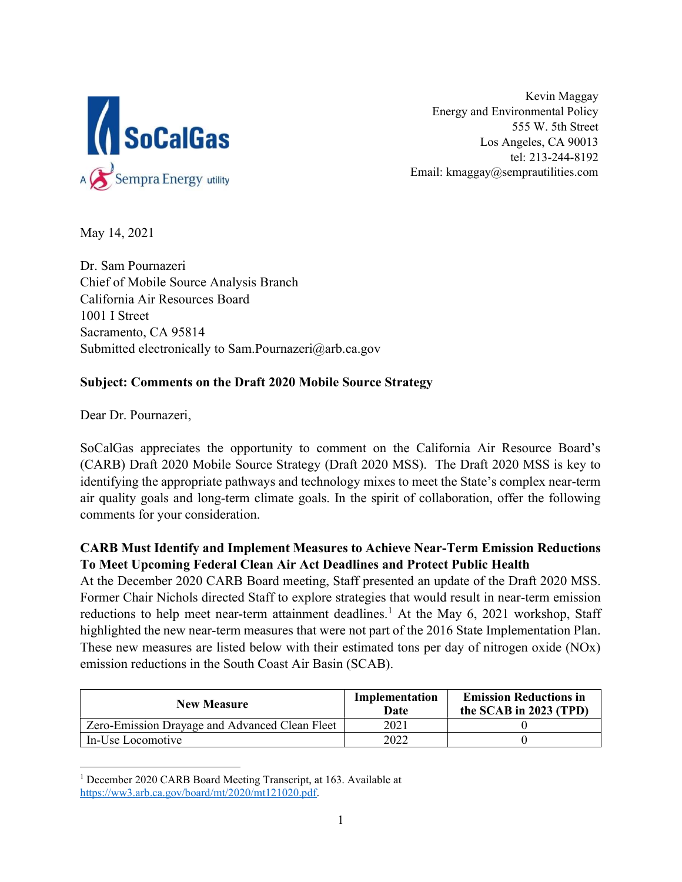

 Kevin Maggay Energy and Environmental Policy 555 W. 5th Street Los Angeles, CA 90013 tel: 213-244-8192 Email: [kmaggay@semprautilities.com](mailto:kmaggay@semprautilities.com)

May 14, 2021

 Dr. Sam Pournazeri Chief of Mobile Source Analysis Branch California Air Resources Board 1001 I Street Sacramento, CA 95814 Submitted electronically to [Sam.Pournazeri@arb.ca.gov](mailto:Sam.Pournazeri@arb.ca.gov)

## Subject: Comments on the Draft 2020 Mobile Source Strategy

Dear Dr. Pournazeri,

 SoCalGas appreciates the opportunity to comment on the California Air Resource Board's (CARB) Draft 2020 Mobile Source Strategy (Draft 2020 MSS). The Draft 2020 MSS is key to identifying the appropriate pathways and technology mixes to meet the State's complex near-term air quality goals and long-term climate goals. In the spirit of collaboration, offer the following comments for your consideration.

## CARB Must Identify and Implement Measures to Achieve Near-Term Emission Reductions To Meet Upcoming Federal Clean Air Act Deadlines and Protect Public Health

 At the December 2020 CARB Board meeting, Staff presented an update of the Draft 2020 MSS. Former Chair Nichols directed Staff to explore strategies that would result in near-term emission reductions to help meet near-term attainment deadlines.<sup>1</sup> At the May 6, 2021 workshop, Staff highlighted the new near-term measures that were not part of the 2016 State Implementation Plan. These new measures are listed below with their estimated tons per day of nitrogen oxide (NOx) emission reductions in the South Coast Air Basin (SCAB).

| <b>New Measure</b>                             | Implementation<br>Date | <b>Emission Reductions in</b><br>the SCAB in 2023 (TPD) |
|------------------------------------------------|------------------------|---------------------------------------------------------|
| Zero-Emission Drayage and Advanced Clean Fleet | 2021                   |                                                         |
| In-Use Locomotive                              | 2022                   |                                                         |

<sup>&</sup>lt;sup>1</sup> December 2020 CARB Board Meeting Transcript, at 163. Available at <https://ww3.arb.ca.gov/board/mt/2020/mt121020.pdf>.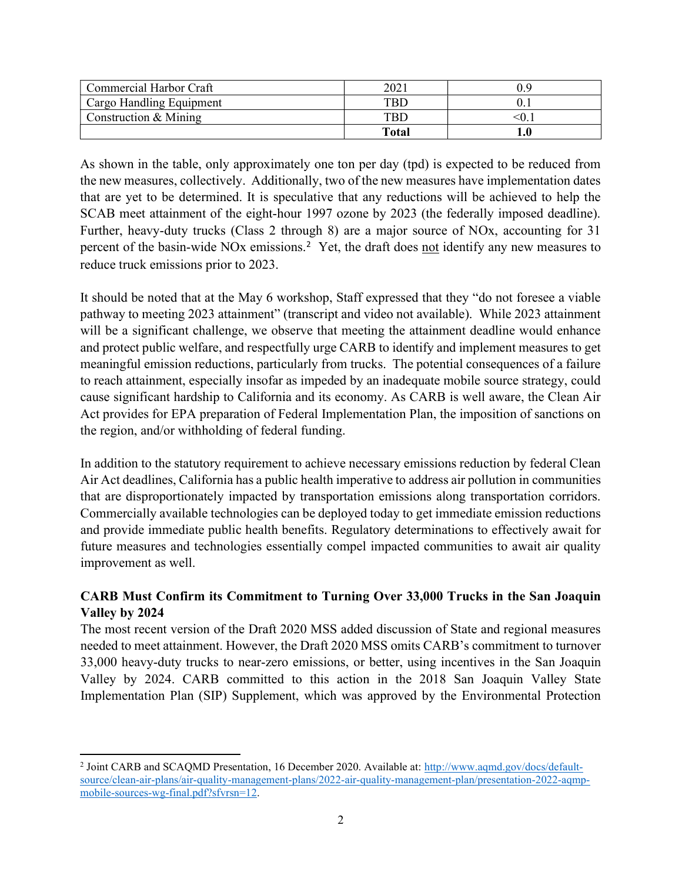| Commercial Harbor Craft  | 202   | .) Q |
|--------------------------|-------|------|
| Cargo Handling Equipment | TRD.  |      |
| Construction & Mining    | TBD   |      |
|                          | Total | 1.0  |

 As shown in the table, only approximately one ton per day (tpd) is expected to be reduced from the new measures, collectively. Additionally, two of the new measures have implementation dates that are yet to be determined. It is speculative that any reductions will be achieved to help the SCAB meet attainment of the eight-hour 1997 ozone by 2023 (the federally imposed deadline). Further, heavy-duty trucks (Class 2 through 8) are a major source of NOx, accounting for 31 percent of the basin-wide NOx emissions.<sup>2</sup> Yet, the draft does not identify any new measures to reduce truck emissions prior to 2023.

 It should be noted that at the May 6 workshop, Staff expressed that they "do not foresee a viable pathway to meeting 2023 attainment" (transcript and video not available). While 2023 attainment will be a significant challenge, we observe that meeting the attainment deadline would enhance and protect public welfare, and respectfully urge CARB to identify and implement measures to get meaningful emission reductions, particularly from trucks. The potential consequences of a failure to reach attainment, especially insofar as impeded by an inadequate mobile source strategy, could cause significant hardship to California and its economy. As CARB is well aware, the Clean Air Act provides for EPA preparation of Federal Implementation Plan, the imposition of sanctions on the region, and/or withholding of federal funding.

 In addition to the statutory requirement to achieve necessary emissions reduction by federal Clean Air Act deadlines, California has a public health imperative to address air pollution in communities that are disproportionately impacted by transportation emissions along transportation corridors. Commercially available technologies can be deployed today to get immediate emission reductions and provide immediate public health benefits. Regulatory determinations to effectively await for future measures and technologies essentially compel impacted communities to await air quality improvement as well.

## CARB Must Confirm its Commitment to Turning Over 33,000 Trucks in the San Joaquin Valley by 2024

 The most recent version of the Draft 2020 MSS added discussion of State and regional measures needed to meet attainment. However, the Draft 2020 MSS omits CARB's commitment to turnover 33,000 heavy-duty trucks to near-zero emissions, or better, using incentives in the San Joaquin Valley by 2024. CARB committed to this action in the 2018 San Joaquin Valley State Implementation Plan (SIP) Supplement, which was approved by the Environmental Protection

<sup>&</sup>lt;sup>2</sup> Joint CARB and SCAQMD Presentation, 16 December 2020. Available at: <http://www.aqmd.gov/docs/default>- mobile-sources-wg-final.pdf?sfvrsn=12. source/clean-air-plans/air-quality-management-plans/2022-air-quality-management-plan/presentation-2022-aqmp-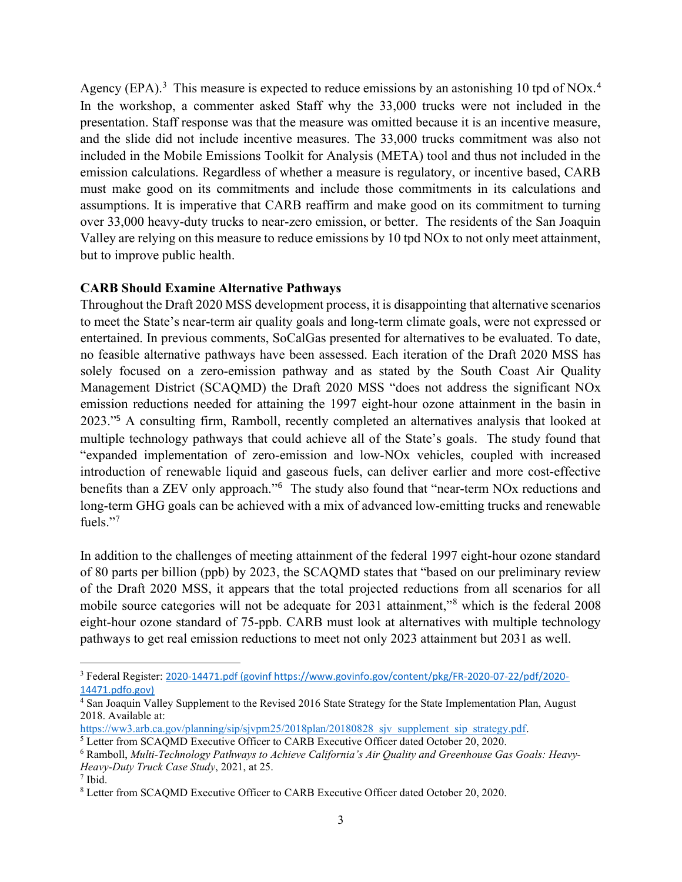Agency (EPA).<sup>3</sup> This measure is expected to reduce emissions by an astonishing 10 tpd of NOx.<sup>4</sup> In the workshop, a commenter asked Staff why the 33,000 trucks were not included in the presentation. Staff response was that the measure was omitted because it is an incentive measure, and the slide did not include incentive measures. The 33,000 trucks commitment was also not included in the Mobile Emissions Toolkit for Analysis (META) tool and thus not included in the emission calculations. Regardless of whether a measure is regulatory, or incentive based, CARB must make good on its commitments and include those commitments in its calculations and assumptions. It is imperative that CARB reaffirm and make good on its commitment to turning over 33,000 heavy-duty trucks to near-zero emission, or better. The residents of the San Joaquin Valley are relying on this measure to reduce emissions by 10 tpd NOx to not only meet attainment, but to improve public health.

## CARB Should Examine Alternative Pathways

 Throughout the Draft 2020 MSS development process, it is disappointing that alternative scenarios to meet the State's near-term air quality goals and long-term climate goals, were not expressed or entertained. In previous comments, SoCalGas presented for alternatives to be evaluated. To date, no feasible alternative pathways have been assessed. Each iteration of the Draft 2020 MSS has solely focused on a zero-emission pathway and as stated by the South Coast Air Quality Management District (SCAQMD) the Draft 2020 MSS "does not address the significant NOx emission reductions needed for attaining the 1997 eight-hour ozone attainment in the basin in 2023."<sup>5</sup> A consulting firm, Ramboll, recently completed an alternatives analysis that looked at multiple technology pathways that could achieve all of the State's goals. The study found that "expanded implementation of zero-emission and low-NOx vehicles, coupled with increased introduction of renewable liquid and gaseous fuels, can deliver earlier and more cost-effective benefits than a ZEV only approach."<sup>6</sup> The study also found that "near-term NOx reductions and long-term GHG goals can be achieved with a mix of advanced low-emitting trucks and renewable fuels."<sup>7</sup>

 In addition to the challenges of meeting attainment of the federal 1997 eight-hour ozone standard of 80 parts per billion (ppb) by 2023, the SCAQMD states that "based on our preliminary review mobile source categories will not be adequate for 2031 attainment,"<sup>8</sup> which is the federal 2008 eight-hour ozone standard of 75-ppb. CARB must look at alternatives with multiple technology pathways to get real emission reductions to meet not only 2023 attainment but 2031 as well. of the Draft 2020 MSS, it appears that the total projected reductions from all scenarios for all

<sup>&</sup>lt;sup>3</sup> Federal Register: 2020-14471.pdf (govinf [https://www.govinfo.gov/content/pkg/FR-2020-07-22/pdf/2020-](https://www.govinfo.gov/content/pkg/FR-2020-07-22/pdf/2020) [14471.pdfo.gov](https://14471.pdfo.gov))

 <sup>4</sup> San Joaquin Valley Supplement to the Revised 2016 State Strategy for the State Implementation Plan, August 2018. Available at:

[https://ww3.arb.ca.gov/planning/sip/sjvpm25/2018plan/20180828\\_sjv\\_supplement\\_sip\\_strategy.pdf](https://ww3.arb.ca.gov/planning/sip/sjvpm25/2018plan/20180828_sjv_supplement_sip_strategy.pdf).

<sup>&</sup>lt;sup>5</sup> Letter from SCAQMD Executive Officer to CARB Executive Officer dated October 20, 2020.

 $^6$  Ramboll, Multi-Technology Pathways to Achieve California's Air Quality and Greenhouse Gas Goals: Heavy-Heavy-Duty Truck Case Study, 2021, at 25.

 <sup>7</sup> Ibid.

<sup>&</sup>lt;sup>8</sup> Letter from SCAQMD Executive Officer to CARB Executive Officer dated October 20, 2020.